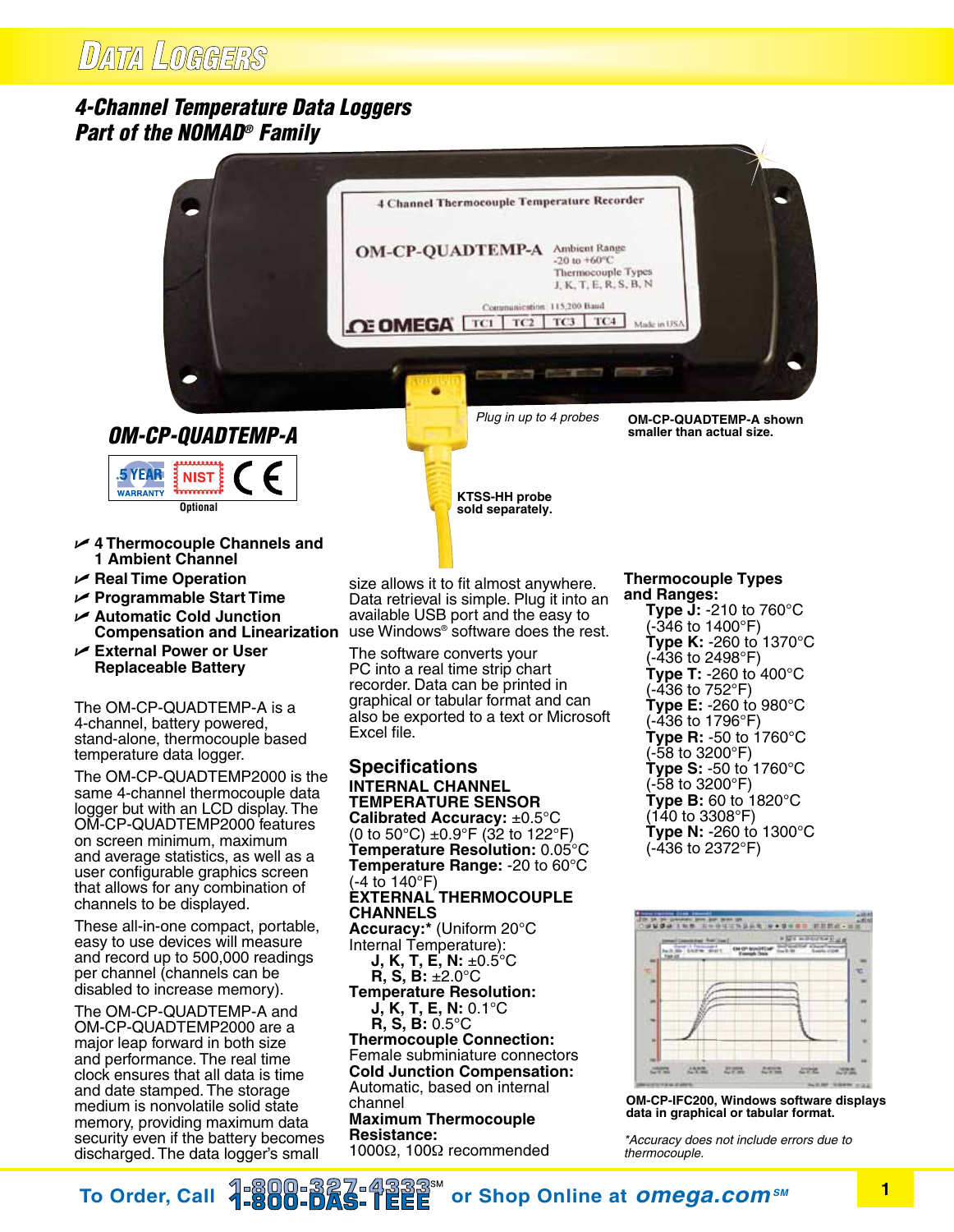# **DATA LOGGERS**

### *4-Channel Temperature Data Loggers Part of the NOMAD® Family*



U **4 Thermocouple Channels and 1 Ambient Channel Optional**

**NIST** 

n a an an an a

U **Real Time Operation**

**5 YEAR** 

**WARRANTY** 

- U **Programmable Start Time**
- U **Automatic Cold Junction**
- U **External Power or User Replaceable Battery**

The OM-CP-QUADTEMP-A is a 4-channel, battery powered, stand-alone, thermocouple based temperature data logger.

The OM-CP-QUADTEMP2000 is the same 4-channel thermocouple data logger but with an LCD display. The OM-CP-QUADTEMP2000 features on screen minimum, maximum and average statistics, as well as a user configurable graphics screen that allows for any combination of channels to be displayed.

These all-in-one compact, portable, easy to use devices will measure and record up to 500,000 readings per channel (channels can be disabled to increase memory).

The OM-CP-QUADTEMP-A and OM-CP-QUADTEMP2000 are a major leap forward in both size and performance. The real time clock ensures that all data is time and date stamped. The storage medium is nonvolatile solid state memory, providing maximum data security even if the battery becomes discharged. The data logger's small

**Compensation and Linearization** use Windows® software does the rest. size allows it to fit almost anywhere. Data retrieval is simple. Plug it into an available USB port and the easy to

**KTSS-HH probe sold separately.** 

The software converts your PC into a real time strip chart recorder. Data can be printed in graphical or tabular format and can also be exported to a text or Microsoft Excel file.

**Specifications Internal Channel Temperature Sensor Calibrated Accuracy:** ±0.5°C (0 to 50°C)  $\pm 0.9$ °F (32 to 122°F) **Temperature Resolution:** 0.05°C **Temperature Range:** -20 to 60°C (-4 to 140°F) **External Thermocouple channels Accuracy:\*** (Uniform 20°C Internal Temperature): **J, K, T, E, N:** ±0.5°C **R, S, B:** ±2.0°C **Temperature Resolution: J, K, T, E, N:** 0.1°C **R, S, B:** 0.5°C **Thermocouple Connection:** Female subminiature connectors **Cold Junction Compensation:** Automatic, based on internal channel **Maximum Thermocouple Resistance:**

#### 1000Ω, 100Ω recommended

#### **Thermocouple Types and Ranges:**

 **Type J:** -210 to 760°C (-346 to 1400°F) **Type K:** -260 to 1370°C (-436 to 2498°F) **Type T:** -260 to 400°C (-436 to 752°F) **Type E:** -260 to 980°C (-436 to 1796°F) **Type R:** -50 to 1760°C  $-58$  to 3200 $^{\circ}$ F) **Type S:** -50 to 1760°C (-58 to 3200°F) **Type B:** 60 to 1820°C (140 to 3308°F) **Type N:** -260 to 1300°C (-436 to 2372°F)



**OM-CP-IFC200, Windows software displays data in graphical or tabular format.**

*\*Accuracy does not include errors due to thermocouple.*